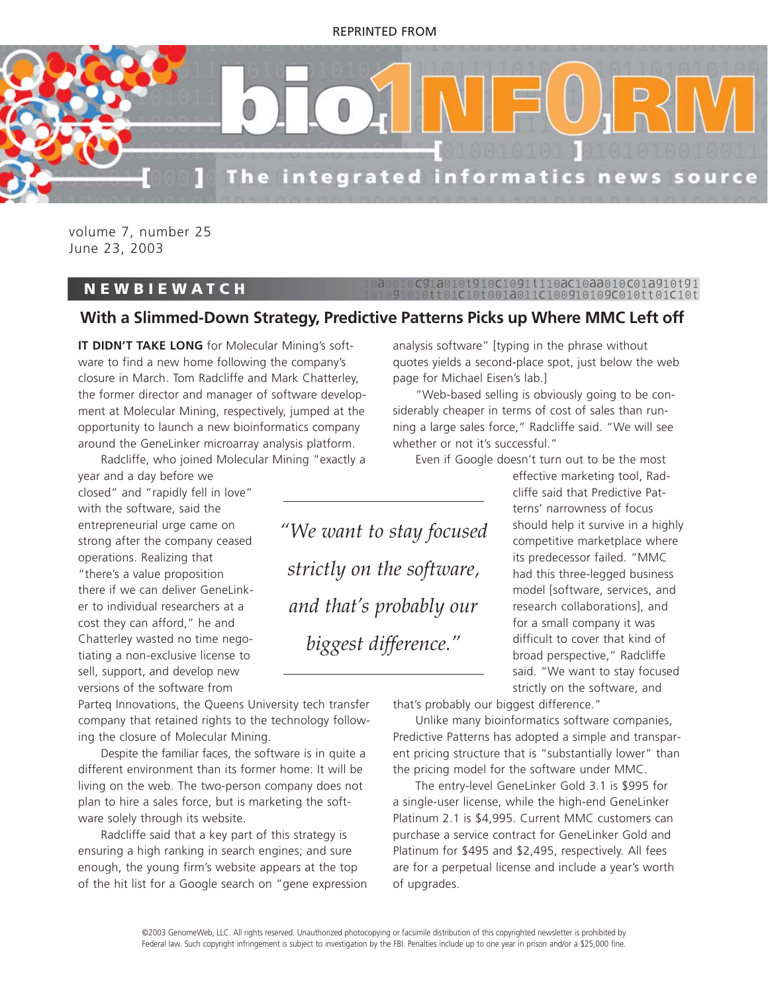#### REPRINTED FROM



volume 7, number 25 June 23, 2003

#### **NEWBIEWATCH**

## C91a010t910C1091t110aC10aa010C01a910t91<br>10tt01C10t001a011C100910109C010tt01C10t

### **With a Slimmed-Down Strategy, Predictive Patterns Picks up Where MMC Left off**

**IT DIDN'T TAKE LONG** for Molecular Mining's software to find a new home following the company's closure in March. Tom Radcliffe and Mark Chatterley, the former director and manager of software development at Molecular Mining, respectively, jumped at the opportunity to launch a new bioinformatics company around the GeneLinker microarray analysis platform.

Radcliffe, who joined Molecular Mining "exactly a

year and a day before we closed" and "rapidly fell in love" with the software, said the entrepreneurial urge came on strong after the company ceased operations. Realizing that "there's a value proposition there if we can deliver GeneLinker to individual researchers at a cost they can afford," he and Chatterley wasted no time negotiating a non-exclusive license to sell, support, and develop new versions of the software from

*"We want to stay focused strictly on the software, and that's probably our biggest difference."*

analysis software" [typing in the phrase without quotes yields a second-place spot, just below the web page for Michael Eisen's lab.]

"Web-based selling is obviously going to be considerably cheaper in terms of cost of sales than running a large sales force," Radcliffe said. "We will see whether or not it's successful."

Even if Google doesn't turn out to be the most

effective marketing tool, Radcliffe said that Predictive Patterns' narrowness of focus should help it survive in a highly competitive marketplace where its predecessor failed. "MMC had this three-legged business model [software, services, and research collaborations], and for a small company it was difficult to cover that kind of broad perspective," Radcliffe said. "We want to stay focused strictly on the software, and

Parteq Innovations, the Queens University tech transfer company that retained rights to the technology following the closure of Molecular Mining.

Despite the familiar faces, the software is in quite a different environment than its former home: It will be living on the web. The two-person company does not plan to hire a sales force, but is marketing the software solely through its website.

Radcliffe said that a key part of this strategy is ensuring a high ranking in search engines; and sure enough, the young firm's website appears at the top of the hit list for a Google search on "gene expression that's probably our biggest difference."

Unlike many bioinformatics software companies, Predictive Patterns has adopted a simple and transparent pricing structure that is "substantially lower" than the pricing model for the software under MMC.

The entry-level GeneLinker Gold 3.1 is \$995 for a single-user license, while the high-end GeneLinker Platinum 2.1 is \$4,995. Current MMC customers can purchase a service contract for GeneLinker Gold and Platinum for \$495 and \$2,495, respectively. All fees are for a perpetual license and include a year's worth of upgrades.